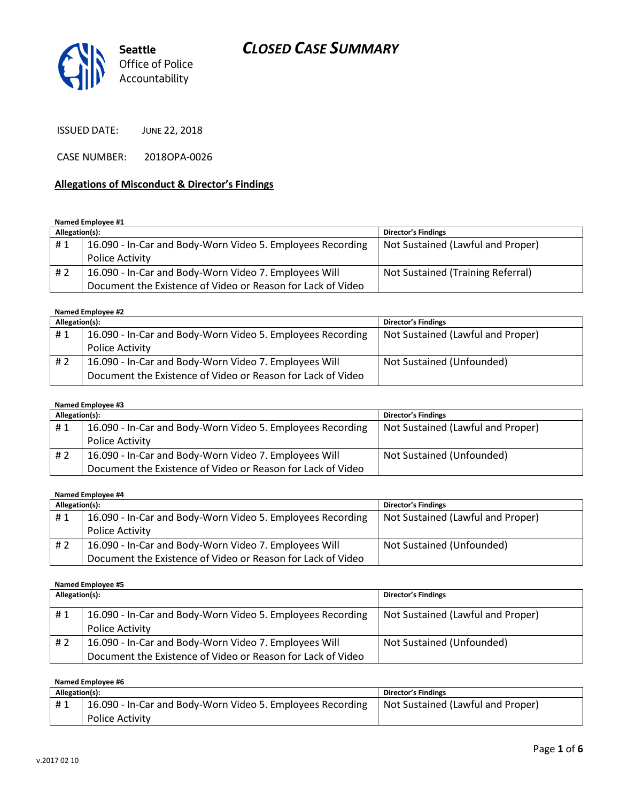# *CLOSED CASE SUMMARY*



ISSUED DATE: JUNE 22, 2018

CASE NUMBER: 2018OPA-0026

#### **Allegations of Misconduct & Director's Findings**

**Named Employee #1**

| Allegation(s): |                                                             | Director's Findings               |
|----------------|-------------------------------------------------------------|-----------------------------------|
| #1             | 16.090 - In-Car and Body-Worn Video 5. Employees Recording  | Not Sustained (Lawful and Proper) |
|                | <b>Police Activity</b>                                      |                                   |
| #2             | 16.090 - In-Car and Body-Worn Video 7. Employees Will       | Not Sustained (Training Referral) |
|                | Document the Existence of Video or Reason for Lack of Video |                                   |

#### **Named Employee #2**

| Allegation(s): |                                                             | <b>Director's Findings</b>        |
|----------------|-------------------------------------------------------------|-----------------------------------|
| #1             | 16.090 - In-Car and Body-Worn Video 5. Employees Recording  | Not Sustained (Lawful and Proper) |
|                | <b>Police Activity</b>                                      |                                   |
| #2             | 16.090 - In-Car and Body-Worn Video 7. Employees Will       | Not Sustained (Unfounded)         |
|                | Document the Existence of Video or Reason for Lack of Video |                                   |

### **Named Employee #3**

| Allegation(s): |                                                             | <b>Director's Findings</b>        |
|----------------|-------------------------------------------------------------|-----------------------------------|
| #1             | 16.090 - In-Car and Body-Worn Video 5. Employees Recording  | Not Sustained (Lawful and Proper) |
|                | <b>Police Activity</b>                                      |                                   |
| # 2            | 16.090 - In-Car and Body-Worn Video 7. Employees Will       | Not Sustained (Unfounded)         |
|                | Document the Existence of Video or Reason for Lack of Video |                                   |

#### **Named Employee #4**

| Allegation(s): |                                                             | Director's Findings               |
|----------------|-------------------------------------------------------------|-----------------------------------|
| #1             | 16.090 - In-Car and Body-Worn Video 5. Employees Recording  | Not Sustained (Lawful and Proper) |
|                | Police Activity                                             |                                   |
| #2             | 16.090 - In-Car and Body-Worn Video 7. Employees Will       | Not Sustained (Unfounded)         |
|                | Document the Existence of Video or Reason for Lack of Video |                                   |

#### **Named Employee #5**

| Allegation(s): |                                                             | Director's Findings               |
|----------------|-------------------------------------------------------------|-----------------------------------|
| #1             | 16.090 - In-Car and Body-Worn Video 5. Employees Recording  | Not Sustained (Lawful and Proper) |
|                | Police Activity                                             |                                   |
| # 2            | 16.090 - In-Car and Body-Worn Video 7. Employees Will       | Not Sustained (Unfounded)         |
|                | Document the Existence of Video or Reason for Lack of Video |                                   |

| Named Employee #6 |                                                            |                                   |
|-------------------|------------------------------------------------------------|-----------------------------------|
| Allegation(s):    |                                                            | <b>Director's Findings</b>        |
| #1                | 16.090 - In-Car and Body-Worn Video 5. Employees Recording | Not Sustained (Lawful and Proper) |
|                   | <b>Police Activity</b>                                     |                                   |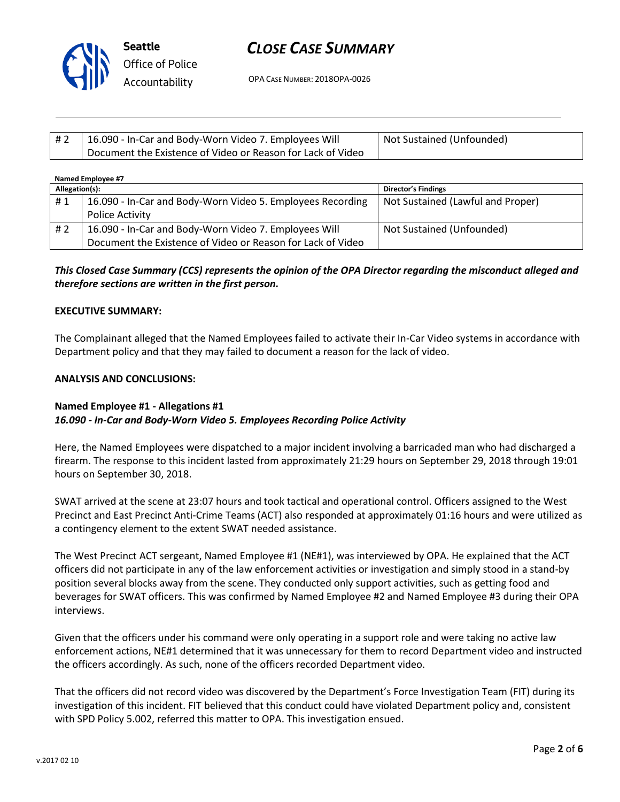

# *CLOSE CASE SUMMARY*

OPA CASE NUMBER: 2018OPA-0026

| # 2 | 16.090 - In-Car and Body-Worn Video 7. Employees Will       | Not Sustained (Unfounded) |
|-----|-------------------------------------------------------------|---------------------------|
|     | Document the Existence of Video or Reason for Lack of Video |                           |

| Named Employee #7 |                                                                                                                      |                                   |
|-------------------|----------------------------------------------------------------------------------------------------------------------|-----------------------------------|
| Allegation(s):    |                                                                                                                      | <b>Director's Findings</b>        |
| #1                | 16.090 - In-Car and Body-Worn Video 5. Employees Recording<br>Police Activity                                        | Not Sustained (Lawful and Proper) |
| #2                | 16.090 - In-Car and Body-Worn Video 7. Employees Will<br>Document the Existence of Video or Reason for Lack of Video | Not Sustained (Unfounded)         |

## *This Closed Case Summary (CCS) represents the opinion of the OPA Director regarding the misconduct alleged and therefore sections are written in the first person.*

### **EXECUTIVE SUMMARY:**

The Complainant alleged that the Named Employees failed to activate their In-Car Video systems in accordance with Department policy and that they may failed to document a reason for the lack of video.

#### **ANALYSIS AND CONCLUSIONS:**

## **Named Employee #1 - Allegations #1**

### *16.090 - In-Car and Body-Worn Video 5. Employees Recording Police Activity*

Here, the Named Employees were dispatched to a major incident involving a barricaded man who had discharged a firearm. The response to this incident lasted from approximately 21:29 hours on September 29, 2018 through 19:01 hours on September 30, 2018.

SWAT arrived at the scene at 23:07 hours and took tactical and operational control. Officers assigned to the West Precinct and East Precinct Anti-Crime Teams (ACT) also responded at approximately 01:16 hours and were utilized as a contingency element to the extent SWAT needed assistance.

The West Precinct ACT sergeant, Named Employee #1 (NE#1), was interviewed by OPA. He explained that the ACT officers did not participate in any of the law enforcement activities or investigation and simply stood in a stand-by position several blocks away from the scene. They conducted only support activities, such as getting food and beverages for SWAT officers. This was confirmed by Named Employee #2 and Named Employee #3 during their OPA interviews.

Given that the officers under his command were only operating in a support role and were taking no active law enforcement actions, NE#1 determined that it was unnecessary for them to record Department video and instructed the officers accordingly. As such, none of the officers recorded Department video.

That the officers did not record video was discovered by the Department's Force Investigation Team (FIT) during its investigation of this incident. FIT believed that this conduct could have violated Department policy and, consistent with SPD Policy 5.002, referred this matter to OPA. This investigation ensued.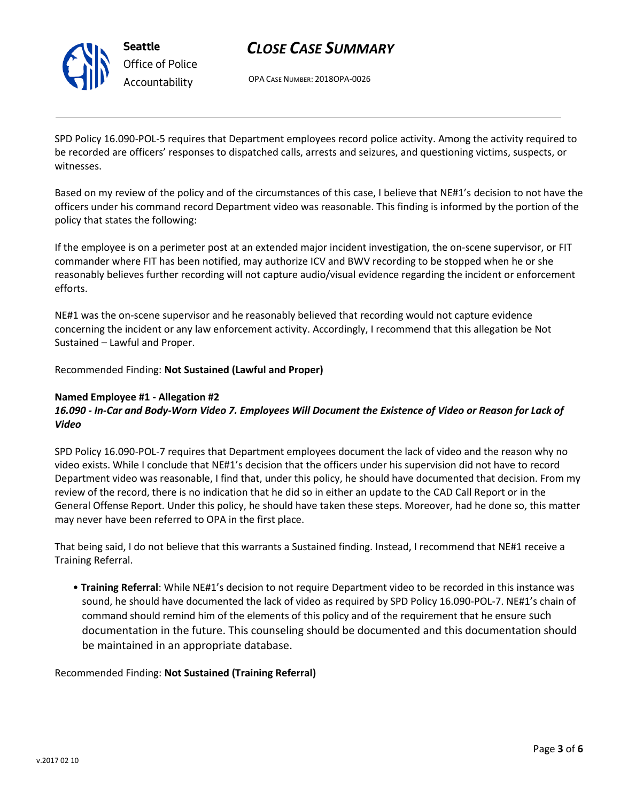

**Seattle** *Office of Police Accountability*

# *CLOSE CASE SUMMARY*

OPA CASE NUMBER: 2018OPA-0026

SPD Policy 16.090-POL-5 requires that Department employees record police activity. Among the activity required to be recorded are officers' responses to dispatched calls, arrests and seizures, and questioning victims, suspects, or witnesses.

Based on my review of the policy and of the circumstances of this case, I believe that NE#1's decision to not have the officers under his command record Department video was reasonable. This finding is informed by the portion of the policy that states the following:

If the employee is on a perimeter post at an extended major incident investigation, the on-scene supervisor, or FIT commander where FIT has been notified, may authorize ICV and BWV recording to be stopped when he or she reasonably believes further recording will not capture audio/visual evidence regarding the incident or enforcement efforts.

NE#1 was the on-scene supervisor and he reasonably believed that recording would not capture evidence concerning the incident or any law enforcement activity. Accordingly, I recommend that this allegation be Not Sustained – Lawful and Proper.

Recommended Finding: **Not Sustained (Lawful and Proper)** 

### **Named Employee #1 - Allegation #2**

## *16.090 - In-Car and Body-Worn Video 7. Employees Will Document the Existence of Video or Reason for Lack of Video*

SPD Policy 16.090-POL-7 requires that Department employees document the lack of video and the reason why no video exists. While I conclude that NE#1's decision that the officers under his supervision did not have to record Department video was reasonable, I find that, under this policy, he should have documented that decision. From my review of the record, there is no indication that he did so in either an update to the CAD Call Report or in the General Offense Report. Under this policy, he should have taken these steps. Moreover, had he done so, this matter may never have been referred to OPA in the first place.

That being said, I do not believe that this warrants a Sustained finding. Instead, I recommend that NE#1 receive a Training Referral.

• **Training Referral**: While NE#1's decision to not require Department video to be recorded in this instance was sound, he should have documented the lack of video as required by SPD Policy 16.090-POL-7. NE#1's chain of command should remind him of the elements of this policy and of the requirement that he ensure such documentation in the future. This counseling should be documented and this documentation should be maintained in an appropriate database.

### Recommended Finding: **Not Sustained (Training Referral)**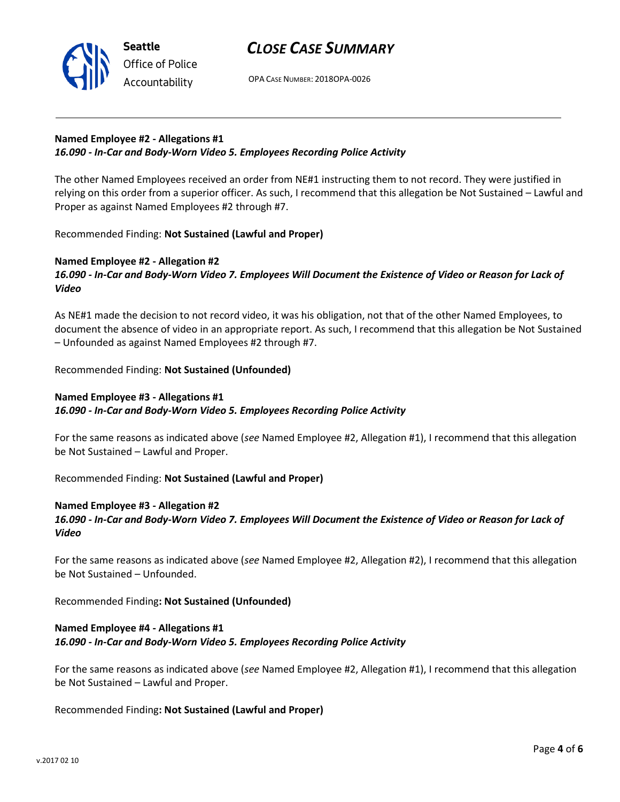



OPA CASE NUMBER: 2018OPA-0026

## **Named Employee #2 - Allegations #1**  *16.090 - In-Car and Body-Worn Video 5. Employees Recording Police Activity*

The other Named Employees received an order from NE#1 instructing them to not record. They were justified in relying on this order from a superior officer. As such, I recommend that this allegation be Not Sustained – Lawful and Proper as against Named Employees #2 through #7.

Recommended Finding: **Not Sustained (Lawful and Proper)** 

## **Named Employee #2 - Allegation #2**

## *16.090 - In-Car and Body-Worn Video 7. Employees Will Document the Existence of Video or Reason for Lack of Video*

As NE#1 made the decision to not record video, it was his obligation, not that of the other Named Employees, to document the absence of video in an appropriate report. As such, I recommend that this allegation be Not Sustained – Unfounded as against Named Employees #2 through #7.

Recommended Finding: **Not Sustained (Unfounded)** 

## **Named Employee #3 - Allegations #1**  *16.090 - In-Car and Body-Worn Video 5. Employees Recording Police Activity*

For the same reasons as indicated above (*see* Named Employee #2, Allegation #1), I recommend that this allegation be Not Sustained – Lawful and Proper.

Recommended Finding: **Not Sustained (Lawful and Proper)**

## **Named Employee #3 - Allegation #2**

## *16.090 - In-Car and Body-Worn Video 7. Employees Will Document the Existence of Video or Reason for Lack of Video*

For the same reasons as indicated above (*see* Named Employee #2, Allegation #2), I recommend that this allegation be Not Sustained – Unfounded.

Recommended Finding**: Not Sustained (Unfounded)**

### **Named Employee #4 - Allegations #1**  *16.090 - In-Car and Body-Worn Video 5. Employees Recording Police Activity*

For the same reasons as indicated above (*see* Named Employee #2, Allegation #1), I recommend that this allegation be Not Sustained – Lawful and Proper.

Recommended Finding**: Not Sustained (Lawful and Proper)**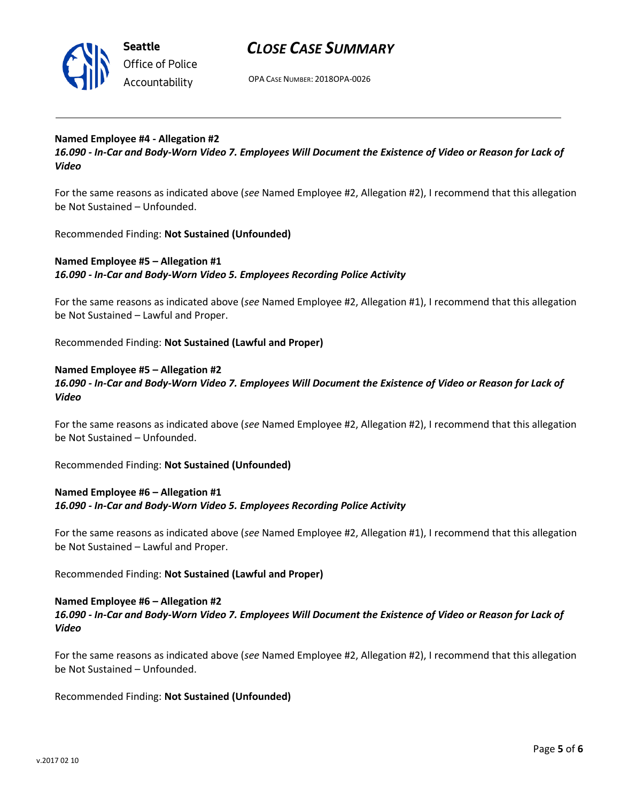

**Seattle** *Office of Police Accountability*

## *CLOSE CASE SUMMARY*

OPA CASE NUMBER: 2018OPA-0026

### **Named Employee #4 - Allegation #2**

*16.090 - In-Car and Body-Worn Video 7. Employees Will Document the Existence of Video or Reason for Lack of Video* 

For the same reasons as indicated above (*see* Named Employee #2, Allegation #2), I recommend that this allegation be Not Sustained – Unfounded.

Recommended Finding: **Not Sustained (Unfounded)** 

### **Named Employee #5 – Allegation #1**  *16.090 - In-Car and Body-Worn Video 5. Employees Recording Police Activity*

For the same reasons as indicated above (*see* Named Employee #2, Allegation #1), I recommend that this allegation be Not Sustained – Lawful and Proper.

Recommended Finding: **Not Sustained (Lawful and Proper)** 

### **Named Employee #5 – Allegation #2**

*16.090 - In-Car and Body-Worn Video 7. Employees Will Document the Existence of Video or Reason for Lack of Video* 

For the same reasons as indicated above (*see* Named Employee #2, Allegation #2), I recommend that this allegation be Not Sustained – Unfounded.

Recommended Finding: **Not Sustained (Unfounded)** 

## **Named Employee #6 – Allegation #1**  *16.090 - In-Car and Body-Worn Video 5. Employees Recording Police Activity*

For the same reasons as indicated above (*see* Named Employee #2, Allegation #1), I recommend that this allegation be Not Sustained – Lawful and Proper.

Recommended Finding: **Not Sustained (Lawful and Proper)**

### **Named Employee #6 – Allegation #2**

## *16.090 - In-Car and Body-Worn Video 7. Employees Will Document the Existence of Video or Reason for Lack of Video*

For the same reasons as indicated above (*see* Named Employee #2, Allegation #2), I recommend that this allegation be Not Sustained – Unfounded.

Recommended Finding: **Not Sustained (Unfounded)**